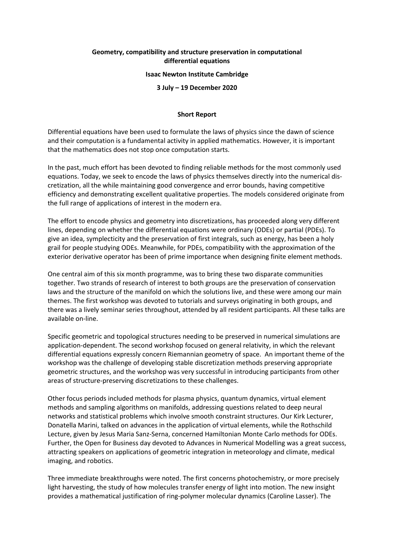## **Geometry, compatibility and structure preservation in computational differential equations**

## **Isaac Newton Institute Cambridge**

**3 July – 19 December 2020**

## **Short Report**

Differential equations have been used to formulate the laws of physics since the dawn of science and their computation is a fundamental activity in applied mathematics. However, it is important that the mathematics does not stop once computation starts.

In the past, much effort has been devoted to finding reliable methods for the most commonly used equations. Today, we seek to encode the laws of physics themselves directly into the numerical discretization, all the while maintaining good convergence and error bounds, having competitive efficiency and demonstrating excellent qualitative properties. The models considered originate from the full range of applications of interest in the modern era.

The effort to encode physics and geometry into discretizations, has proceeded along very different lines, depending on whether the differential equations were ordinary (ODEs) or partial (PDEs). To give an idea, symplecticity and the preservation of first integrals, such as energy, has been a holy grail for people studying ODEs. Meanwhile, for PDEs, compatibility with the approximation of the exterior derivative operator has been of prime importance when designing finite element methods.

One central aim of this six month programme, was to bring these two disparate communities together. Two strands of research of interest to both groups are the preservation of conservation laws and the structure of the manifold on which the solutions live, and these were among our main themes. The first workshop was devoted to tutorials and surveys originating in both groups, and there was a lively seminar series throughout, attended by all resident participants. All these talks are available on-line.

Specific geometric and topological structures needing to be preserved in numerical simulations are application-dependent. The second workshop focused on general relativity, in which the relevant differential equations expressly concern Riemannian geometry of space. An important theme of the workshop was the challenge of developing stable discretization methods preserving appropriate geometric structures, and the workshop was very successful in introducing participants from other areas of structure-preserving discretizations to these challenges.

Other focus periods included methods for plasma physics, quantum dynamics, virtual element methods and sampling algorithms on manifolds, addressing questions related to deep neural networks and statistical problems which involve smooth constraint structures. Our Kirk Lecturer, Donatella Marini, talked on advances in the application of virtual elements, while the Rothschild Lecture, given by Jesus Maria Sanz-Serna, concerned Hamiltonian Monte Carlo methods for ODEs. Further, the Open for Business day devoted to Advances in Numerical Modelling was a great success, attracting speakers on applications of geometric integration in meteorology and climate, medical imaging, and robotics.

Three immediate breakthroughs were noted. The first concerns photochemistry, or more precisely light harvesting, the study of how molecules transfer energy of light into motion. The new insight provides a mathematical justification of ring-polymer molecular dynamics (Caroline Lasser). The